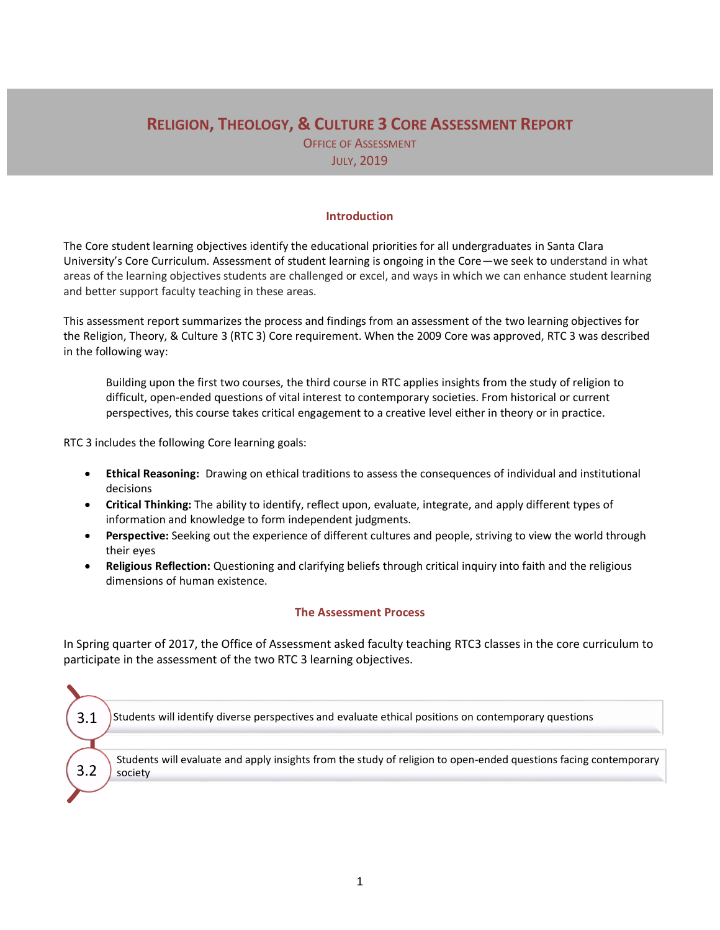# **RELIGION, THEOLOGY, & CULTURE 3 CORE ASSESSMENT REPORT**

OFFICE OF ASSESSMENT JULY, 2019

## **Introduction**

The Core student learning objectives identify the educational priorities for all undergraduates in Santa Clara University's Core Curriculum. Assessment of student learning is ongoing in the Core—we seek to understand in what areas of the learning objectives students are challenged or excel, and ways in which we can enhance student learning and better support faculty teaching in these areas.

This assessment report summarizes the process and findings from an assessment of the two learning objectives for the Religion, Theory, & Culture 3 (RTC 3) Core requirement. When the 2009 Core was approved, RTC 3 was described in the following way:

Building upon the first two courses, the third course in RTC applies insights from the study of religion to difficult, open-ended questions of vital interest to contemporary societies. From historical or current perspectives, this course takes critical engagement to a creative level either in theory or in practice.

RTC 3 includes the following Core learning goals:

- **Ethical Reasoning:** Drawing on ethical traditions to assess the consequences of individual and institutional decisions
- **Critical Thinking:** The ability to identify, reflect upon, evaluate, integrate, and apply different types of information and knowledge to form independent judgments.
- **Perspective:** Seeking out the experience of different cultures and people, striving to view the world through their eyes
- **Religious Reflection:** Questioning and clarifying beliefs through critical inquiry into faith and the religious dimensions of human existence.

## **The Assessment Process**

In Spring quarter of 2017, the Office of Assessment asked faculty teaching RTC3 classes in the core curriculum to participate in the assessment of the two RTC 3 learning objectives.

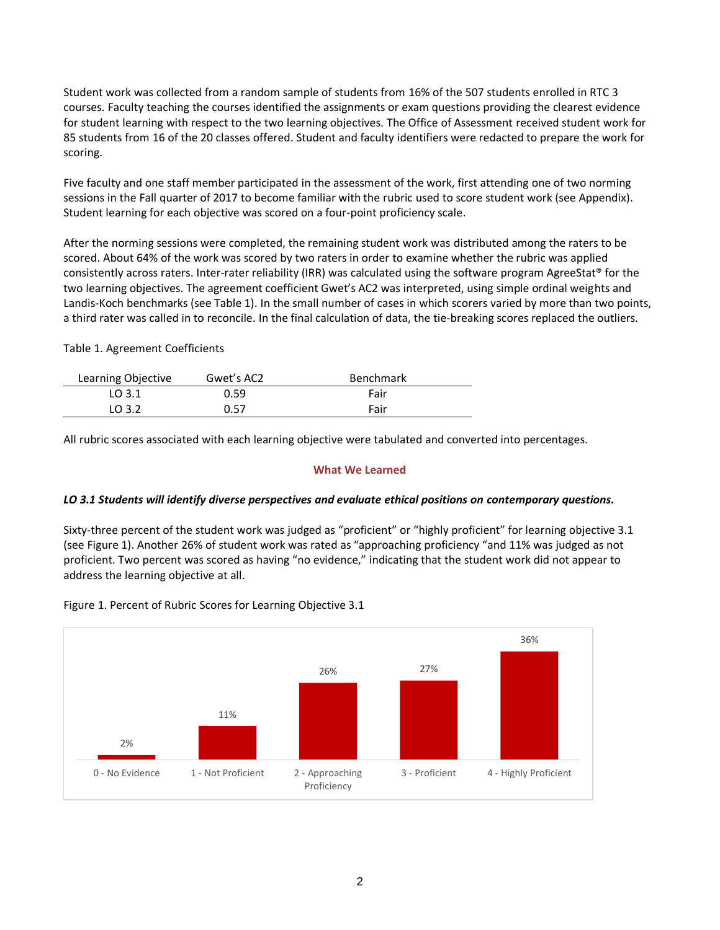Student work was collected from a random sample of students from 16% of the 507 students enrolled in RTC 3 courses. Faculty teaching the courses identified the assignments or exam questions providing the clearest evidence for student learning with respect to the two learning objectives. The Office of Assessment received student work for 85 students from 16 of the 20 classes offered. Student and faculty identifiers were redacted to prepare the work for scoring.

Five faculty and one staff member participated in the assessment of the work, first attending one of two norming sessions in the Fall quarter of 2017 to become familiar with the rubric used to score student work (see Appendix). Student learning for each objective was scored on a four-point proficiency scale.

After the norming sessions were completed, the remaining student work was distributed among the raters to be scored. About 64% of the work was scored by two raters in order to examine whether the rubric was applied consistently across raters. Inter-rater reliability (IRR) was calculated using the software program AgreeStat® for the two learning objectives. The agreement coefficient Gwet's AC2 was interpreted, using simple ordinal weights and Landis-Koch benchmarks (see Table 1). In the small number of cases in which scorers varied by more than two points, a third rater was called in to reconcile. In the final calculation of data, the tie-breaking scores replaced the outliers.

Table 1. Agreement Coefficients

| Learning Objective | Gwet's AC2 | <b>Benchmark</b> |
|--------------------|------------|------------------|
| LO 3.1             | 0.59       | Fair             |
| LO 3.2             | 0.57       | Fair             |

All rubric scores associated with each learning objective were tabulated and converted into percentages.

# **What We Learned**

# *LO 3.1 Students will identify diverse perspectives and evaluate ethical positions on contemporary questions.*

Sixty-three percent of the student work was judged as "proficient" or "highly proficient" for learning objective 3.1 (see Figure 1). Another 26% of student work was rated as "approaching proficiency "and 11% was judged as not proficient. Two percent was scored as having "no evidence," indicating that the student work did not appear to address the learning objective at all.



Figure 1. Percent of Rubric Scores for Learning Objective 3.1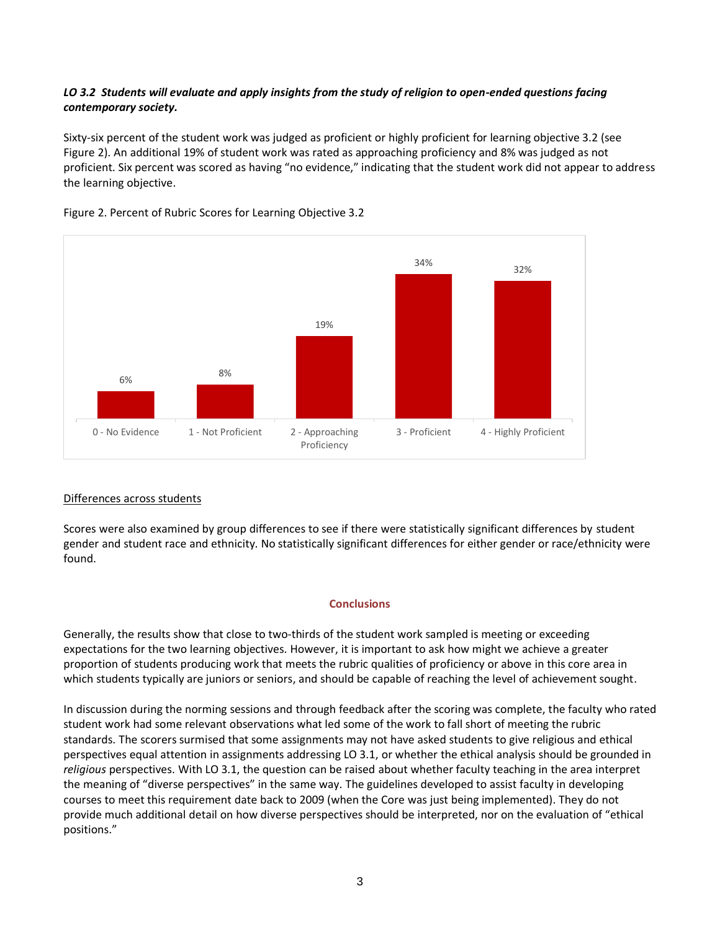# *LO 3.2 Students will evaluate and apply insights from the study of religion to open-ended questions facing contemporary society.*

Sixty-six percent of the student work was judged as proficient or highly proficient for learning objective 3.2 (see Figure 2). An additional 19% of student work was rated as approaching proficiency and 8% was judged as not proficient. Six percent was scored as having "no evidence," indicating that the student work did not appear to address the learning objective.



## Figure 2. Percent of Rubric Scores for Learning Objective 3.2

# Differences across students

Scores were also examined by group differences to see if there were statistically significant differences by student gender and student race and ethnicity. No statistically significant differences for either gender or race/ethnicity were found.

## **Conclusions**

Generally, the results show that close to two-thirds of the student work sampled is meeting or exceeding expectations for the two learning objectives. However, it is important to ask how might we achieve a greater proportion of students producing work that meets the rubric qualities of proficiency or above in this core area in which students typically are juniors or seniors, and should be capable of reaching the level of achievement sought.

In discussion during the norming sessions and through feedback after the scoring was complete, the faculty who rated student work had some relevant observations what led some of the work to fall short of meeting the rubric standards. The scorers surmised that some assignments may not have asked students to give religious and ethical perspectives equal attention in assignments addressing LO 3.1, or whether the ethical analysis should be grounded in *religious* perspectives. With LO 3.1, the question can be raised about whether faculty teaching in the area interpret the meaning of "diverse perspectives" in the same way. The guidelines developed to assist faculty in developing courses to meet this requirement date back to 2009 (when the Core was just being implemented). They do not provide much additional detail on how diverse perspectives should be interpreted, nor on the evaluation of "ethical positions."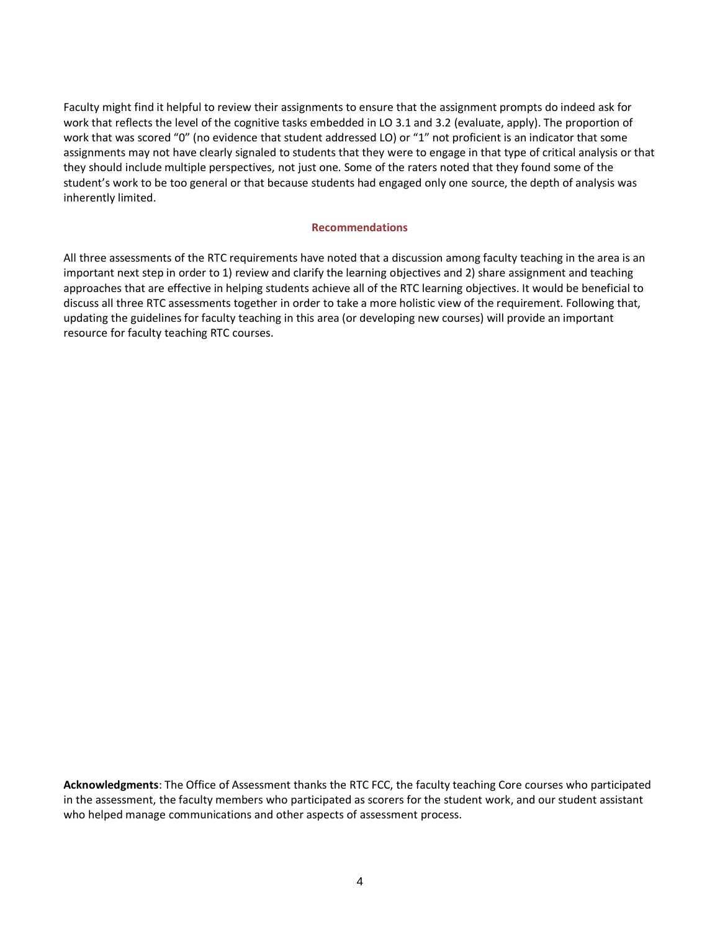Faculty might find it helpful to review their assignments to ensure that the assignment prompts do indeed ask for work that reflects the level of the cognitive tasks embedded in LO 3.1 and 3.2 (evaluate, apply). The proportion of work that was scored "0" (no evidence that student addressed LO) or "1" not proficient is an indicator that some assignments may not have clearly signaled to students that they were to engage in that type of critical analysis or that they should include multiple perspectives, not just one. Some of the raters noted that they found some of the student's work to be too general or that because students had engaged only one source, the depth of analysis was inherently limited.

#### **Recommendations**

All three assessments of the RTC requirements have noted that a discussion among faculty teaching in the area is an important next step in order to 1) review and clarify the learning objectives and 2) share assignment and teaching approaches that are effective in helping students achieve all of the RTC learning objectives. It would be beneficial to discuss all three RTC assessments together in order to take a more holistic view of the requirement. Following that, updating the guidelines for faculty teaching in this area (or developing new courses) will provide an important resource for faculty teaching RTC courses.

**Acknowledgments**: The Office of Assessment thanks the RTC FCC, the faculty teaching Core courses who participated in the assessment, the faculty members who participated as scorers for the student work, and our student assistant who helped manage communications and other aspects of assessment process.